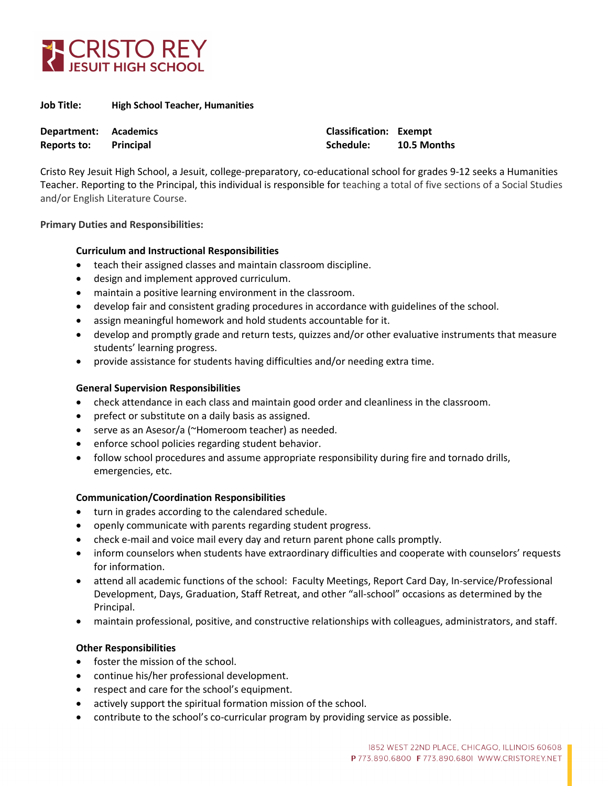

| Job Title: | <b>High School Teacher, Humanities</b> |
|------------|----------------------------------------|
|------------|----------------------------------------|

| Department: Academics |           | <b>Classification: Exempt</b> |             |
|-----------------------|-----------|-------------------------------|-------------|
| Reports to:           | Principal | Schedule:                     | 10.5 Months |

Cristo Rey Jesuit High School, a Jesuit, college-preparatory, co-educational school for grades 9-12 seeks a Humanities Teacher. Reporting to the Principal, this individual is responsible for teaching a total of five sections of a Social Studies and/or English Literature Course.

#### **Primary Duties and Responsibilities:**

## **Curriculum and Instructional Responsibilities**

- teach their assigned classes and maintain classroom discipline.
- design and implement approved curriculum.
- maintain a positive learning environment in the classroom.
- develop fair and consistent grading procedures in accordance with guidelines of the school.
- assign meaningful homework and hold students accountable for it.
- develop and promptly grade and return tests, quizzes and/or other evaluative instruments that measure students' learning progress.
- provide assistance for students having difficulties and/or needing extra time.

# **General Supervision Responsibilities**

- check attendance in each class and maintain good order and cleanliness in the classroom.
- prefect or substitute on a daily basis as assigned.
- serve as an Asesor/a (~Homeroom teacher) as needed.
- enforce school policies regarding student behavior.
- follow school procedures and assume appropriate responsibility during fire and tornado drills, emergencies, etc.

## **Communication/Coordination Responsibilities**

- turn in grades according to the calendared schedule.
- openly communicate with parents regarding student progress.
- check e-mail and voice mail every day and return parent phone calls promptly.
- inform counselors when students have extraordinary difficulties and cooperate with counselors' requests for information.
- attend all academic functions of the school: Faculty Meetings, Report Card Day, In-service/Professional Development, Days, Graduation, Staff Retreat, and other "all-school" occasions as determined by the Principal.
- maintain professional, positive, and constructive relationships with colleagues, administrators, and staff.

## **Other Responsibilities**

- foster the mission of the school.
- continue his/her professional development.
- respect and care for the school's equipment.
- actively support the spiritual formation mission of the school.
- contribute to the school's co-curricular program by providing service as possible.